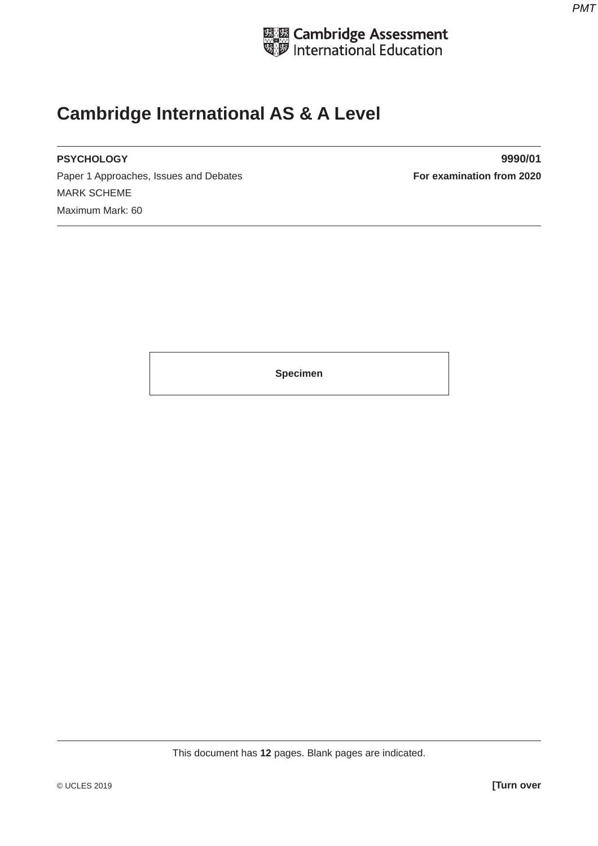

# **Cambridge International AS & A Level**

Paper 1 Approaches, Issues and Debates **For examination from 2020** MARK SCHEME Maximum Mark: 60

**PSYCHOLOGY 9990/01**

**Specimen**

This document has **12** pages. Blank pages are indicated.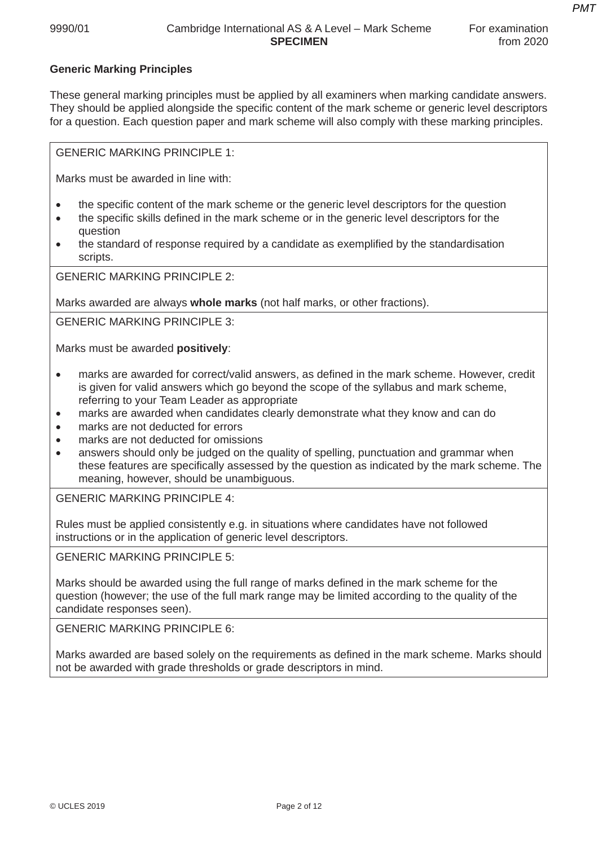# **Generic Marking Principles**

These general marking principles must be applied by all examiners when marking candidate answers. They should be applied alongside the specific content of the mark scheme or generic level descriptors for a question. Each question paper and mark scheme will also comply with these marking principles.

GENERIC MARKING PRINCIPLE 1:

Marks must be awarded in line with:

- the specific content of the mark scheme or the generic level descriptors for the question
- the specific skills defined in the mark scheme or in the generic level descriptors for the question
- the standard of response required by a candidate as exemplified by the standardisation scripts.

GENERIC MARKING PRINCIPLE 2:

Marks awarded are always **whole marks** (not half marks, or other fractions).

GENERIC MARKING PRINCIPLE 3:

Marks must be awarded **positively**:

- marks are awarded for correct/valid answers, as defined in the mark scheme. However, credit is given for valid answers which go beyond the scope of the syllabus and mark scheme, referring to your Team Leader as appropriate
- marks are awarded when candidates clearly demonstrate what they know and can do
- marks are not deducted for errors
- marks are not deducted for omissions
- answers should only be judged on the quality of spelling, punctuation and grammar when these features are specifically assessed by the question as indicated by the mark scheme. The meaning, however, should be unambiguous.

GENERIC MARKING PRINCIPLE 4:

Rules must be applied consistently e.g. in situations where candidates have not followed instructions or in the application of generic level descriptors.

GENERIC MARKING PRINCIPLE 5:

Marks should be awarded using the full range of marks defined in the mark scheme for the question (however; the use of the full mark range may be limited according to the quality of the candidate responses seen).

GENERIC MARKING PRINCIPLE 6:

Marks awarded are based solely on the requirements as defined in the mark scheme. Marks should not be awarded with grade thresholds or grade descriptors in mind.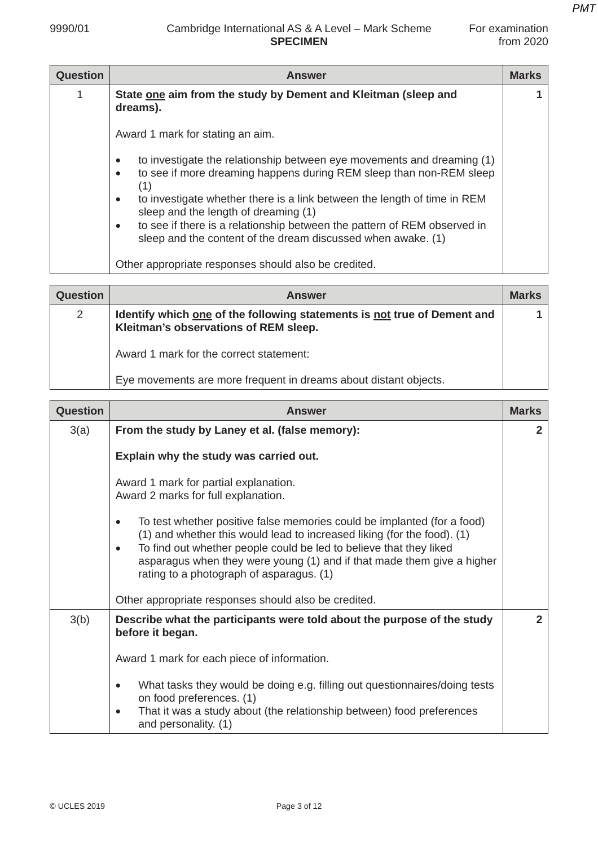| -or examination |             |
|-----------------|-------------|
|                 | from $2020$ |

| <b>Question</b> | <b>Answer</b>                                                                                                                                                          | <b>Marks</b> |
|-----------------|------------------------------------------------------------------------------------------------------------------------------------------------------------------------|--------------|
|                 | State one aim from the study by Dement and Kleitman (sleep and<br>dreams).                                                                                             |              |
|                 | Award 1 mark for stating an aim.                                                                                                                                       |              |
|                 | to investigate the relationship between eye movements and dreaming (1)<br>٠<br>to see if more dreaming happens during REM sleep than non-REM sleep<br>$\bullet$<br>(1) |              |
|                 | to investigate whether there is a link between the length of time in REM<br>$\bullet$<br>sleep and the length of dreaming (1)                                          |              |
|                 | to see if there is a relationship between the pattern of REM observed in<br>$\bullet$<br>sleep and the content of the dream discussed when awake. (1)                  |              |
|                 | Other appropriate responses should also be credited.                                                                                                                   |              |

| <b>Question</b> | <b>Answer</b>                                                                                                     | <b>Marks</b> |
|-----------------|-------------------------------------------------------------------------------------------------------------------|--------------|
| $\overline{2}$  | Identify which one of the following statements is not true of Dement and<br>Kleitman's observations of REM sleep. |              |
|                 | Award 1 mark for the correct statement:                                                                           |              |
|                 | Eye movements are more frequent in dreams about distant objects.                                                  |              |

| Question | <b>Answer</b>                                                                                                                                                                                                                                                                                                                                               | <b>Marks</b> |
|----------|-------------------------------------------------------------------------------------------------------------------------------------------------------------------------------------------------------------------------------------------------------------------------------------------------------------------------------------------------------------|--------------|
| 3(a)     | From the study by Laney et al. (false memory):                                                                                                                                                                                                                                                                                                              | $\mathbf{2}$ |
|          | Explain why the study was carried out.                                                                                                                                                                                                                                                                                                                      |              |
|          | Award 1 mark for partial explanation.<br>Award 2 marks for full explanation.                                                                                                                                                                                                                                                                                |              |
|          | To test whether positive false memories could be implanted (for a food)<br>$\bullet$<br>(1) and whether this would lead to increased liking (for the food). (1)<br>To find out whether people could be led to believe that they liked<br>asparagus when they were young (1) and if that made them give a higher<br>rating to a photograph of asparagus. (1) |              |
|          | Other appropriate responses should also be credited.                                                                                                                                                                                                                                                                                                        |              |
| 3(b)     | Describe what the participants were told about the purpose of the study<br>before it began.                                                                                                                                                                                                                                                                 | $\mathbf{2}$ |
|          | Award 1 mark for each piece of information.                                                                                                                                                                                                                                                                                                                 |              |
|          | What tasks they would be doing e.g. filling out questionnaires/doing tests<br>$\bullet$<br>on food preferences. (1)<br>That it was a study about (the relationship between) food preferences<br>$\bullet$<br>and personality. (1)                                                                                                                           |              |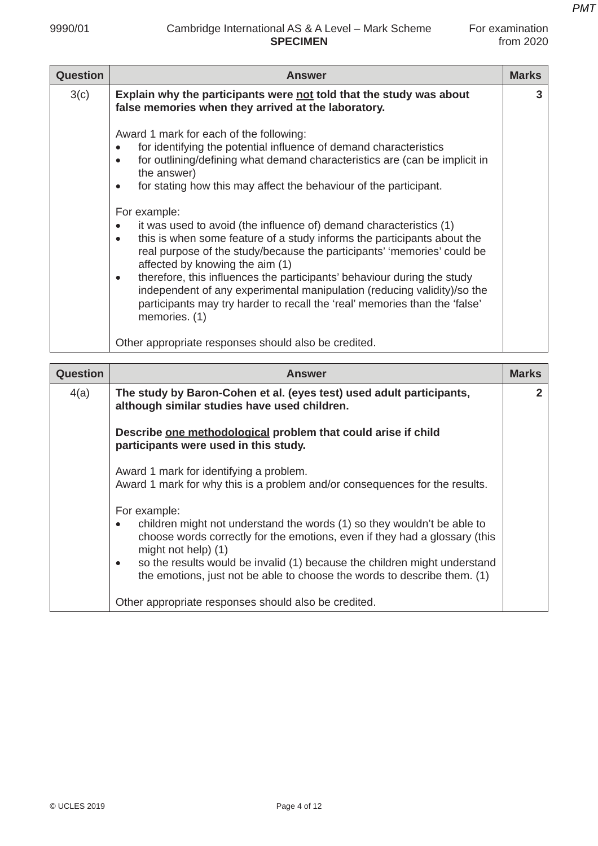# 9990/01 Cambridge International AS & A Level – Mark Scheme For examination **SPECIMEN** from 2020

| <b>Question</b> | <b>Answer</b>                                                                                                                                                                                                                                                                                                                                                                                                                                                                                                                                                                                                                                                                                                                                                                                                                                               | <b>Marks</b> |
|-----------------|-------------------------------------------------------------------------------------------------------------------------------------------------------------------------------------------------------------------------------------------------------------------------------------------------------------------------------------------------------------------------------------------------------------------------------------------------------------------------------------------------------------------------------------------------------------------------------------------------------------------------------------------------------------------------------------------------------------------------------------------------------------------------------------------------------------------------------------------------------------|--------------|
| 3(c)            | Explain why the participants were not told that the study was about<br>false memories when they arrived at the laboratory.                                                                                                                                                                                                                                                                                                                                                                                                                                                                                                                                                                                                                                                                                                                                  | 3            |
|                 | Award 1 mark for each of the following:<br>for identifying the potential influence of demand characteristics<br>٠<br>for outlining/defining what demand characteristics are (can be implicit in<br>the answer)<br>for stating how this may affect the behaviour of the participant.<br>٠<br>For example:<br>it was used to avoid (the influence of) demand characteristics (1)<br>٠<br>this is when some feature of a study informs the participants about the<br>$\bullet$<br>real purpose of the study/because the participants' 'memories' could be<br>affected by knowing the aim (1)<br>therefore, this influences the participants' behaviour during the study<br>$\bullet$<br>independent of any experimental manipulation (reducing validity)/so the<br>participants may try harder to recall the 'real' memories than the 'false'<br>memories. (1) |              |
|                 | Other appropriate responses should also be credited.                                                                                                                                                                                                                                                                                                                                                                                                                                                                                                                                                                                                                                                                                                                                                                                                        |              |

| <b>Question</b> | <b>Answer</b>                                                                                                                                                                                                                                                                                                                                                      | <b>Marks</b> |
|-----------------|--------------------------------------------------------------------------------------------------------------------------------------------------------------------------------------------------------------------------------------------------------------------------------------------------------------------------------------------------------------------|--------------|
| 4(a)            | The study by Baron-Cohen et al. (eyes test) used adult participants,<br>although similar studies have used children.                                                                                                                                                                                                                                               | 2            |
|                 | Describe one methodological problem that could arise if child<br>participants were used in this study.                                                                                                                                                                                                                                                             |              |
|                 | Award 1 mark for identifying a problem.<br>Award 1 mark for why this is a problem and/or consequences for the results.                                                                                                                                                                                                                                             |              |
|                 | For example:<br>children might not understand the words (1) so they wouldn't be able to<br>choose words correctly for the emotions, even if they had a glossary (this<br>might not help) (1)<br>so the results would be invalid (1) because the children might understand<br>$\bullet$<br>the emotions, just not be able to choose the words to describe them. (1) |              |
|                 | Other appropriate responses should also be credited.                                                                                                                                                                                                                                                                                                               |              |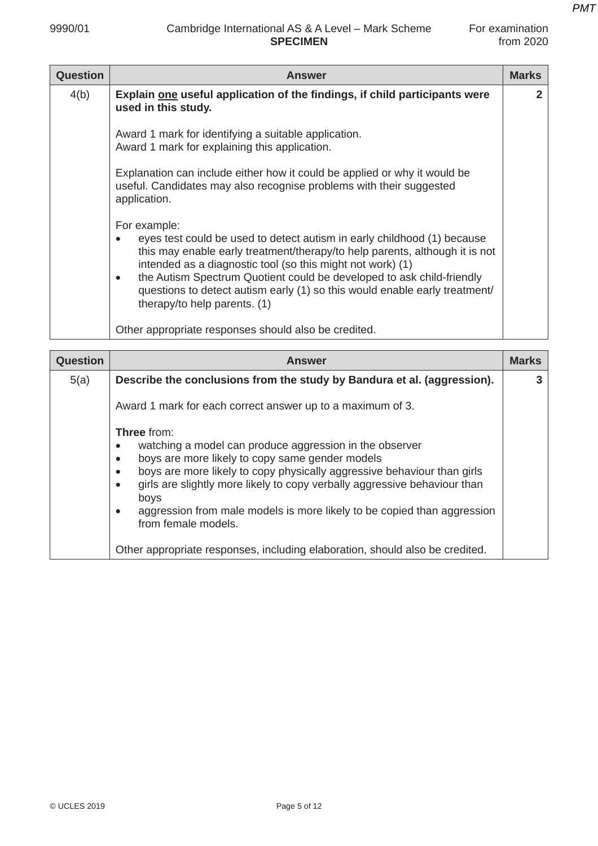| <b>Question</b> | <b>Answer</b>                                                                                                                                                                                                                                                                                                                                                                                                                            | <b>Marks</b> |
|-----------------|------------------------------------------------------------------------------------------------------------------------------------------------------------------------------------------------------------------------------------------------------------------------------------------------------------------------------------------------------------------------------------------------------------------------------------------|--------------|
| 4(b)            | Explain one useful application of the findings, if child participants were<br>used in this study.                                                                                                                                                                                                                                                                                                                                        |              |
|                 | Award 1 mark for identifying a suitable application.<br>Award 1 mark for explaining this application.                                                                                                                                                                                                                                                                                                                                    |              |
|                 | Explanation can include either how it could be applied or why it would be<br>useful. Candidates may also recognise problems with their suggested<br>application.                                                                                                                                                                                                                                                                         |              |
|                 | For example:<br>eyes test could be used to detect autism in early childhood (1) because<br>this may enable early treatment/therapy/to help parents, although it is not<br>intended as a diagnostic tool (so this might not work) (1)<br>the Autism Spectrum Quotient could be developed to ask child-friendly<br>$\bullet$<br>questions to detect autism early (1) so this would enable early treatment/<br>therapy/to help parents. (1) |              |
|                 | Other appropriate responses should also be credited.                                                                                                                                                                                                                                                                                                                                                                                     |              |

| <b>Question</b> | <b>Answer</b>                                                                                                                                                                                                                                                                                                                                                                                                                     | <b>Marks</b> |
|-----------------|-----------------------------------------------------------------------------------------------------------------------------------------------------------------------------------------------------------------------------------------------------------------------------------------------------------------------------------------------------------------------------------------------------------------------------------|--------------|
| 5(a)            | Describe the conclusions from the study by Bandura et al. (aggression).                                                                                                                                                                                                                                                                                                                                                           | 3            |
|                 | Award 1 mark for each correct answer up to a maximum of 3.                                                                                                                                                                                                                                                                                                                                                                        |              |
|                 | <b>Three</b> from:<br>watching a model can produce aggression in the observer<br>boys are more likely to copy same gender models<br>boys are more likely to copy physically aggressive behaviour than girls<br>$\bullet$<br>girls are slightly more likely to copy verbally aggressive behaviour than<br>$\bullet$<br>boys<br>aggression from male models is more likely to be copied than aggression<br>٠<br>from female models. |              |
|                 | Other appropriate responses, including elaboration, should also be credited.                                                                                                                                                                                                                                                                                                                                                      |              |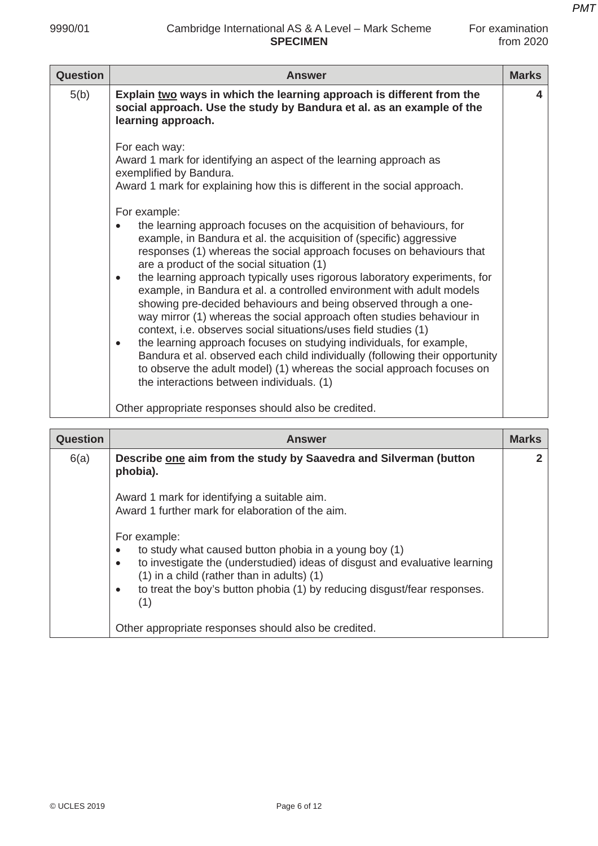| For examination |             |
|-----------------|-------------|
|                 | from $2020$ |

| <b>Question</b> | <b>Answer</b>                                                                                                                                                                                                                                                                                                                                                                                                                                                                                                                                                                                                                                                                                                                                                                                                                                                                                                                                                                                                                                                                                                                                                | <b>Marks</b> |
|-----------------|--------------------------------------------------------------------------------------------------------------------------------------------------------------------------------------------------------------------------------------------------------------------------------------------------------------------------------------------------------------------------------------------------------------------------------------------------------------------------------------------------------------------------------------------------------------------------------------------------------------------------------------------------------------------------------------------------------------------------------------------------------------------------------------------------------------------------------------------------------------------------------------------------------------------------------------------------------------------------------------------------------------------------------------------------------------------------------------------------------------------------------------------------------------|--------------|
| 5(b)            | Explain two ways in which the learning approach is different from the<br>social approach. Use the study by Bandura et al. as an example of the<br>learning approach.                                                                                                                                                                                                                                                                                                                                                                                                                                                                                                                                                                                                                                                                                                                                                                                                                                                                                                                                                                                         | 4            |
|                 | For each way:<br>Award 1 mark for identifying an aspect of the learning approach as<br>exemplified by Bandura.<br>Award 1 mark for explaining how this is different in the social approach.<br>For example:<br>the learning approach focuses on the acquisition of behaviours, for<br>example, in Bandura et al. the acquisition of (specific) aggressive<br>responses (1) whereas the social approach focuses on behaviours that<br>are a product of the social situation (1)<br>the learning approach typically uses rigorous laboratory experiments, for<br>$\bullet$<br>example, in Bandura et al. a controlled environment with adult models<br>showing pre-decided behaviours and being observed through a one-<br>way mirror (1) whereas the social approach often studies behaviour in<br>context, i.e. observes social situations/uses field studies (1)<br>the learning approach focuses on studying individuals, for example,<br>$\bullet$<br>Bandura et al. observed each child individually (following their opportunity<br>to observe the adult model) (1) whereas the social approach focuses on<br>the interactions between individuals. (1) |              |
|                 | Other appropriate responses should also be credited.                                                                                                                                                                                                                                                                                                                                                                                                                                                                                                                                                                                                                                                                                                                                                                                                                                                                                                                                                                                                                                                                                                         |              |

| <b>Question</b> | <b>Answer</b>                                                                                                                                                                                                                                                                                                  | <b>Marks</b> |
|-----------------|----------------------------------------------------------------------------------------------------------------------------------------------------------------------------------------------------------------------------------------------------------------------------------------------------------------|--------------|
| 6(a)            | Describe one aim from the study by Saavedra and Silverman (button<br>phobia).                                                                                                                                                                                                                                  | 2            |
|                 | Award 1 mark for identifying a suitable aim.<br>Award 1 further mark for elaboration of the aim.                                                                                                                                                                                                               |              |
|                 | For example:<br>to study what caused button phobia in a young boy (1)<br>to investigate the (understudied) ideas of disgust and evaluative learning<br>$\bullet$<br>(1) in a child (rather than in adults) (1)<br>to treat the boy's button phobia (1) by reducing disgust/fear responses.<br>$\bullet$<br>(1) |              |
|                 | Other appropriate responses should also be credited.                                                                                                                                                                                                                                                           |              |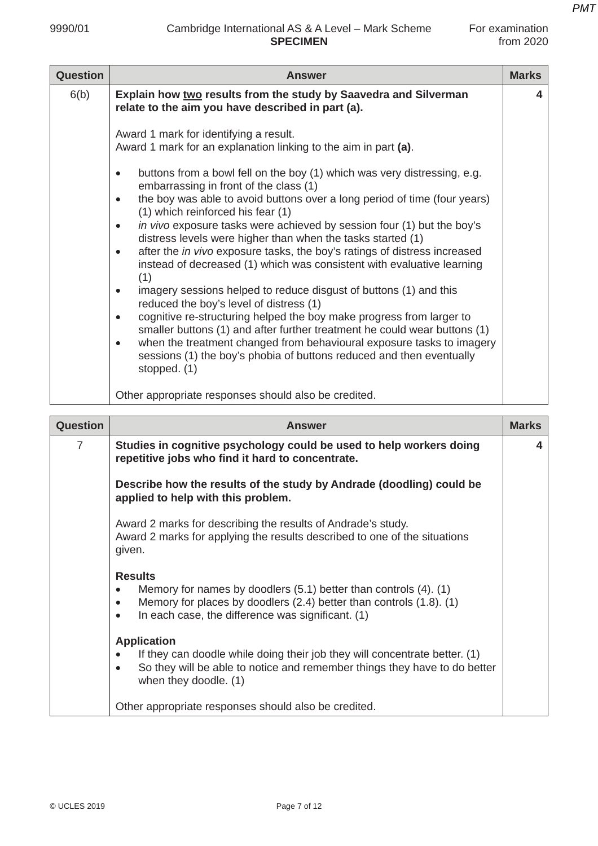## 9990/01 Cambridge International AS & A Level – Mark Scheme For examination **SPECIMEN** from 2020

| <b>Question</b> | <b>Answer</b>                                                                                                                                                                                                                                                                                                                                                                                                                                                                                                                                                                                                                                                                                                                                                                                                                                                                                                                                                                                                                                                                                                                                                     | <b>Marks</b> |
|-----------------|-------------------------------------------------------------------------------------------------------------------------------------------------------------------------------------------------------------------------------------------------------------------------------------------------------------------------------------------------------------------------------------------------------------------------------------------------------------------------------------------------------------------------------------------------------------------------------------------------------------------------------------------------------------------------------------------------------------------------------------------------------------------------------------------------------------------------------------------------------------------------------------------------------------------------------------------------------------------------------------------------------------------------------------------------------------------------------------------------------------------------------------------------------------------|--------------|
| 6(b)            | Explain how two results from the study by Saavedra and Silverman<br>relate to the aim you have described in part (a).                                                                                                                                                                                                                                                                                                                                                                                                                                                                                                                                                                                                                                                                                                                                                                                                                                                                                                                                                                                                                                             | 4            |
|                 | Award 1 mark for identifying a result.<br>Award 1 mark for an explanation linking to the aim in part (a).<br>buttons from a bowl fell on the boy (1) which was very distressing, e.g.<br>$\bullet$<br>embarrassing in front of the class (1)<br>the boy was able to avoid buttons over a long period of time (four years)<br>$\bullet$<br>(1) which reinforced his fear (1)<br>in vivo exposure tasks were achieved by session four (1) but the boy's<br>$\bullet$<br>distress levels were higher than when the tasks started (1)<br>after the in vivo exposure tasks, the boy's ratings of distress increased<br>$\bullet$<br>instead of decreased (1) which was consistent with evaluative learning<br>(1)<br>imagery sessions helped to reduce disgust of buttons (1) and this<br>٠<br>reduced the boy's level of distress (1)<br>cognitive re-structuring helped the boy make progress from larger to<br>٠<br>smaller buttons (1) and after further treatment he could wear buttons (1)<br>when the treatment changed from behavioural exposure tasks to imagery<br>٠<br>sessions (1) the boy's phobia of buttons reduced and then eventually<br>stopped. (1) |              |
|                 |                                                                                                                                                                                                                                                                                                                                                                                                                                                                                                                                                                                                                                                                                                                                                                                                                                                                                                                                                                                                                                                                                                                                                                   |              |

Other appropriate responses should also be credited.

| <b>Question</b> | <b>Answer</b>                                                                                                                                                                                                                                  | <b>Marks</b> |
|-----------------|------------------------------------------------------------------------------------------------------------------------------------------------------------------------------------------------------------------------------------------------|--------------|
| 7               | Studies in cognitive psychology could be used to help workers doing<br>repetitive jobs who find it hard to concentrate.                                                                                                                        | 4            |
|                 | Describe how the results of the study by Andrade (doodling) could be<br>applied to help with this problem.                                                                                                                                     |              |
|                 | Award 2 marks for describing the results of Andrade's study.<br>Award 2 marks for applying the results described to one of the situations<br>given.                                                                                            |              |
|                 | <b>Results</b><br>Memory for names by doodlers $(5.1)$ better than controls $(4)$ . $(1)$<br>Memory for places by doodlers $(2.4)$ better than controls $(1.8)$ . $(1)$<br>$\bullet$<br>In each case, the difference was significant. (1)<br>٠ |              |
|                 | <b>Application</b><br>If they can doodle while doing their job they will concentrate better. (1)<br>So they will be able to notice and remember things they have to do better<br>$\bullet$<br>when they doodle. (1)                            |              |
|                 | Other appropriate responses should also be credited.                                                                                                                                                                                           |              |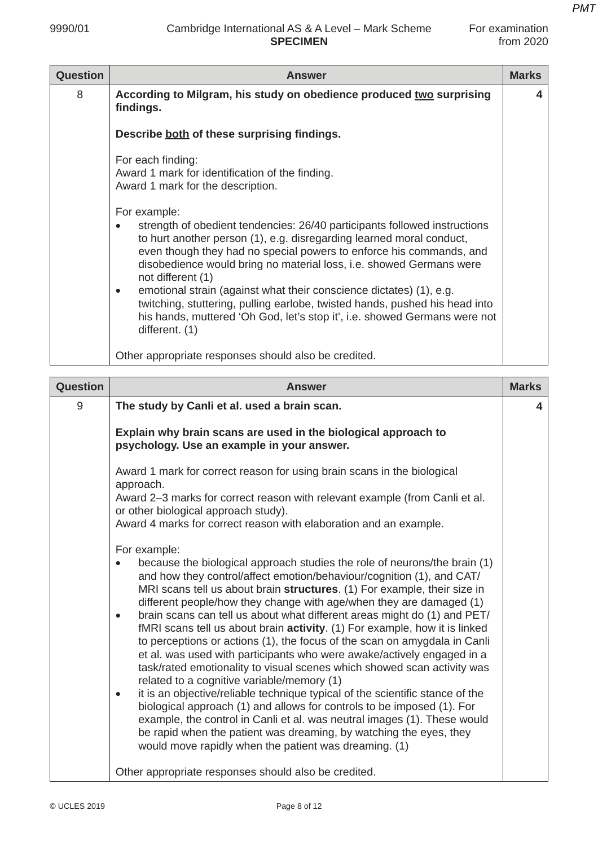| <b>Question</b> | <b>Answer</b>                                                                                                                                                                                                                                                                                                                                                                                                                                                                                                                                                                                  | <b>Marks</b> |
|-----------------|------------------------------------------------------------------------------------------------------------------------------------------------------------------------------------------------------------------------------------------------------------------------------------------------------------------------------------------------------------------------------------------------------------------------------------------------------------------------------------------------------------------------------------------------------------------------------------------------|--------------|
| 8               | According to Milgram, his study on obedience produced two surprising<br>findings.                                                                                                                                                                                                                                                                                                                                                                                                                                                                                                              | 4            |
|                 | Describe both of these surprising findings.                                                                                                                                                                                                                                                                                                                                                                                                                                                                                                                                                    |              |
|                 | For each finding:<br>Award 1 mark for identification of the finding.<br>Award 1 mark for the description.                                                                                                                                                                                                                                                                                                                                                                                                                                                                                      |              |
|                 | For example:<br>strength of obedient tendencies: 26/40 participants followed instructions<br>to hurt another person (1), e.g. disregarding learned moral conduct,<br>even though they had no special powers to enforce his commands, and<br>disobedience would bring no material loss, i.e. showed Germans were<br>not different (1)<br>emotional strain (against what their conscience dictates) (1), e.g.<br>٠<br>twitching, stuttering, pulling earlobe, twisted hands, pushed his head into<br>his hands, muttered 'Oh God, let's stop it', i.e. showed Germans were not<br>different. (1) |              |
|                 | Other appropriate responses should also be credited.                                                                                                                                                                                                                                                                                                                                                                                                                                                                                                                                           |              |

| <b>Question</b> | <b>Answer</b>                                                                                                                                                                                                                                                                                                                                                                                                                                                                                                                                                                                                                                                                                                                                                                                                                                                                                                                                                                                                                                                                                                                                                   | <b>Marks</b> |
|-----------------|-----------------------------------------------------------------------------------------------------------------------------------------------------------------------------------------------------------------------------------------------------------------------------------------------------------------------------------------------------------------------------------------------------------------------------------------------------------------------------------------------------------------------------------------------------------------------------------------------------------------------------------------------------------------------------------------------------------------------------------------------------------------------------------------------------------------------------------------------------------------------------------------------------------------------------------------------------------------------------------------------------------------------------------------------------------------------------------------------------------------------------------------------------------------|--------------|
| 9               | The study by Canli et al. used a brain scan.                                                                                                                                                                                                                                                                                                                                                                                                                                                                                                                                                                                                                                                                                                                                                                                                                                                                                                                                                                                                                                                                                                                    | 4            |
|                 | Explain why brain scans are used in the biological approach to<br>psychology. Use an example in your answer.                                                                                                                                                                                                                                                                                                                                                                                                                                                                                                                                                                                                                                                                                                                                                                                                                                                                                                                                                                                                                                                    |              |
|                 | Award 1 mark for correct reason for using brain scans in the biological<br>approach.<br>Award 2-3 marks for correct reason with relevant example (from Canli et al.<br>or other biological approach study).<br>Award 4 marks for correct reason with elaboration and an example.                                                                                                                                                                                                                                                                                                                                                                                                                                                                                                                                                                                                                                                                                                                                                                                                                                                                                |              |
|                 | For example:<br>because the biological approach studies the role of neurons/the brain (1)<br>and how they control/affect emotion/behaviour/cognition (1), and CAT/<br>MRI scans tell us about brain structures. (1) For example, their size in<br>different people/how they change with age/when they are damaged (1)<br>brain scans can tell us about what different areas might do (1) and PET/<br>$\bullet$<br>fMRI scans tell us about brain activity. (1) For example, how it is linked<br>to perceptions or actions (1), the focus of the scan on amygdala in Canli<br>et al. was used with participants who were awake/actively engaged in a<br>task/rated emotionality to visual scenes which showed scan activity was<br>related to a cognitive variable/memory (1)<br>it is an objective/reliable technique typical of the scientific stance of the<br>$\bullet$<br>biological approach (1) and allows for controls to be imposed (1). For<br>example, the control in Canli et al. was neutral images (1). These would<br>be rapid when the patient was dreaming, by watching the eyes, they<br>would move rapidly when the patient was dreaming. (1) |              |
|                 | Other appropriate responses should also be credited.                                                                                                                                                                                                                                                                                                                                                                                                                                                                                                                                                                                                                                                                                                                                                                                                                                                                                                                                                                                                                                                                                                            |              |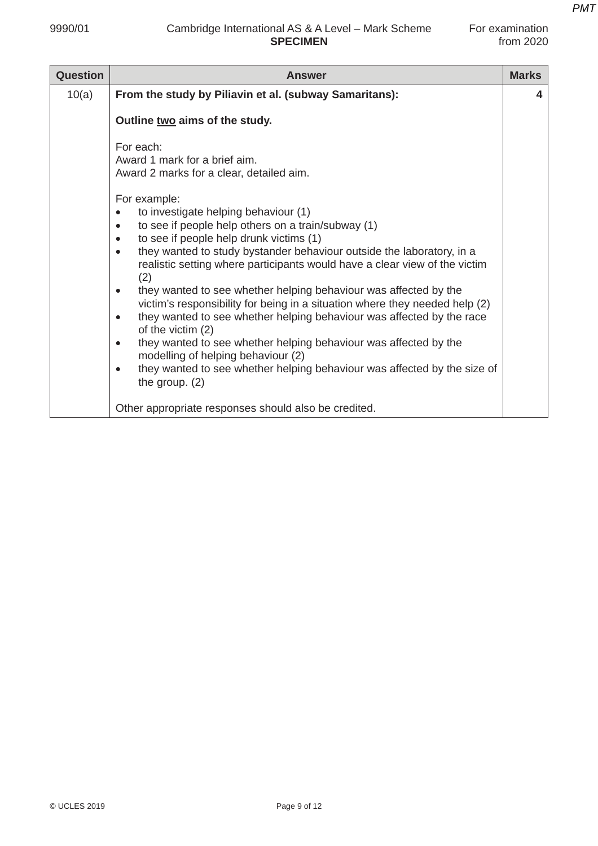| Question | <b>Answer</b>                                                                                                                                                                                                                                                                                                                                                                                                                                                                                                                                                                                                                                                                                                                                                                                                                                                                                                                                                                    | <b>Marks</b> |
|----------|----------------------------------------------------------------------------------------------------------------------------------------------------------------------------------------------------------------------------------------------------------------------------------------------------------------------------------------------------------------------------------------------------------------------------------------------------------------------------------------------------------------------------------------------------------------------------------------------------------------------------------------------------------------------------------------------------------------------------------------------------------------------------------------------------------------------------------------------------------------------------------------------------------------------------------------------------------------------------------|--------------|
| 10(a)    | From the study by Piliavin et al. (subway Samaritans):                                                                                                                                                                                                                                                                                                                                                                                                                                                                                                                                                                                                                                                                                                                                                                                                                                                                                                                           | 4            |
|          | Outline two aims of the study.                                                                                                                                                                                                                                                                                                                                                                                                                                                                                                                                                                                                                                                                                                                                                                                                                                                                                                                                                   |              |
|          | For each:<br>Award 1 mark for a brief aim.<br>Award 2 marks for a clear, detailed aim.<br>For example:<br>to investigate helping behaviour (1)<br>$\bullet$<br>to see if people help others on a train/subway (1)<br>$\bullet$<br>to see if people help drunk victims (1)<br>$\bullet$<br>they wanted to study bystander behaviour outside the laboratory, in a<br>$\bullet$<br>realistic setting where participants would have a clear view of the victim<br>(2)<br>they wanted to see whether helping behaviour was affected by the<br>$\bullet$<br>victim's responsibility for being in a situation where they needed help (2)<br>they wanted to see whether helping behaviour was affected by the race<br>$\bullet$<br>of the victim (2)<br>they wanted to see whether helping behaviour was affected by the<br>$\bullet$<br>modelling of helping behaviour (2)<br>they wanted to see whether helping behaviour was affected by the size of<br>$\bullet$<br>the group. $(2)$ |              |
|          | Other appropriate responses should also be credited.                                                                                                                                                                                                                                                                                                                                                                                                                                                                                                                                                                                                                                                                                                                                                                                                                                                                                                                             |              |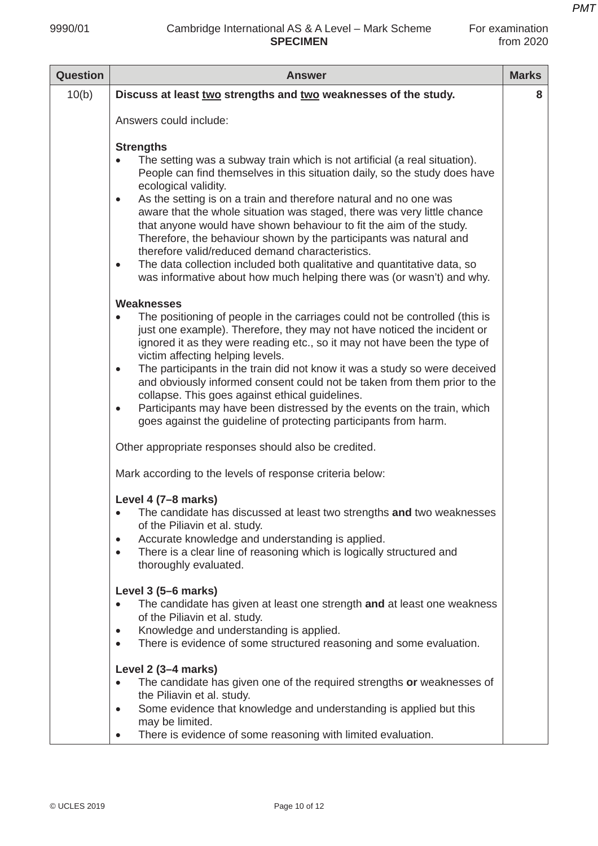| -or examination |  |
|-----------------|--|
| from 2020       |  |

| <b>Question</b> | <b>Answer</b>                                                                                                                                                                                                                                                                                                                                                                                                                                                                                                                                                                                                                                                                                                                                           | <b>Marks</b> |
|-----------------|---------------------------------------------------------------------------------------------------------------------------------------------------------------------------------------------------------------------------------------------------------------------------------------------------------------------------------------------------------------------------------------------------------------------------------------------------------------------------------------------------------------------------------------------------------------------------------------------------------------------------------------------------------------------------------------------------------------------------------------------------------|--------------|
| 10(b)           | Discuss at least two strengths and two weaknesses of the study.                                                                                                                                                                                                                                                                                                                                                                                                                                                                                                                                                                                                                                                                                         | 8            |
|                 | Answers could include:                                                                                                                                                                                                                                                                                                                                                                                                                                                                                                                                                                                                                                                                                                                                  |              |
|                 | <b>Strengths</b><br>The setting was a subway train which is not artificial (a real situation).<br>People can find themselves in this situation daily, so the study does have<br>ecological validity.<br>As the setting is on a train and therefore natural and no one was<br>$\bullet$<br>aware that the whole situation was staged, there was very little chance<br>that anyone would have shown behaviour to fit the aim of the study.<br>Therefore, the behaviour shown by the participants was natural and<br>therefore valid/reduced demand characteristics.<br>The data collection included both qualitative and quantitative data, so<br>$\bullet$<br>was informative about how much helping there was (or wasn't) and why.<br><b>Weaknesses</b> |              |
|                 | The positioning of people in the carriages could not be controlled (this is<br>$\bullet$<br>just one example). Therefore, they may not have noticed the incident or<br>ignored it as they were reading etc., so it may not have been the type of<br>victim affecting helping levels.<br>The participants in the train did not know it was a study so were deceived<br>$\bullet$<br>and obviously informed consent could not be taken from them prior to the<br>collapse. This goes against ethical guidelines.<br>Participants may have been distressed by the events on the train, which<br>$\bullet$<br>goes against the guideline of protecting participants from harm.                                                                              |              |
|                 | Other appropriate responses should also be credited.                                                                                                                                                                                                                                                                                                                                                                                                                                                                                                                                                                                                                                                                                                    |              |
|                 | Mark according to the levels of response criteria below:                                                                                                                                                                                                                                                                                                                                                                                                                                                                                                                                                                                                                                                                                                |              |
|                 | Level 4 (7-8 marks)<br>The candidate has discussed at least two strengths and two weaknesses<br>$\bullet$<br>of the Piliavin et al. study.<br>Accurate knowledge and understanding is applied.<br>$\bullet$<br>There is a clear line of reasoning which is logically structured and<br>$\bullet$<br>thoroughly evaluated.                                                                                                                                                                                                                                                                                                                                                                                                                               |              |
|                 | Level 3 (5–6 marks)<br>The candidate has given at least one strength and at least one weakness<br>$\bullet$<br>of the Piliavin et al. study.<br>Knowledge and understanding is applied.<br>$\bullet$<br>There is evidence of some structured reasoning and some evaluation.<br>$\bullet$                                                                                                                                                                                                                                                                                                                                                                                                                                                                |              |
|                 | Level 2 (3-4 marks)<br>The candidate has given one of the required strengths or weaknesses of<br>the Piliavin et al. study.<br>Some evidence that knowledge and understanding is applied but this<br>$\bullet$<br>may be limited.<br>There is evidence of some reasoning with limited evaluation.<br>$\bullet$                                                                                                                                                                                                                                                                                                                                                                                                                                          |              |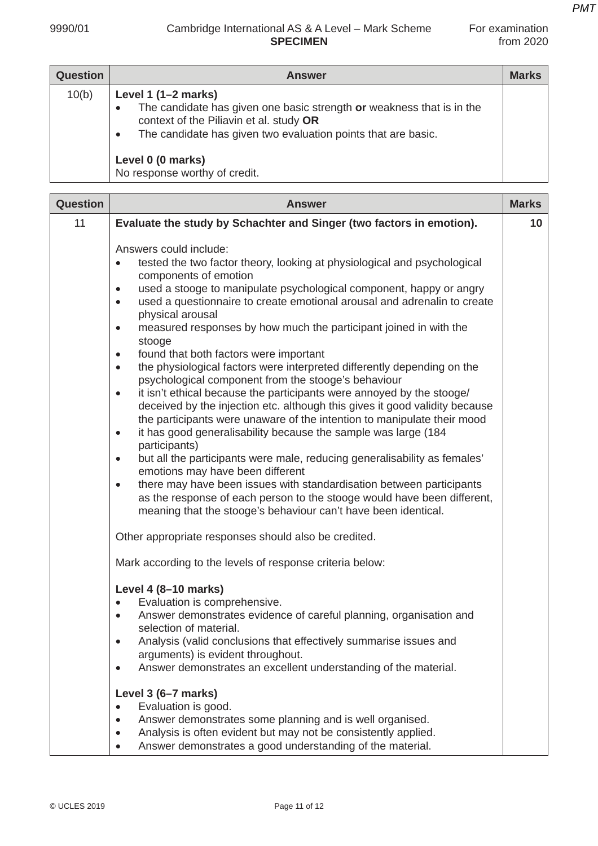| <b>Question</b> | <b>Answer</b>                                                                                                                                                                                                                                                                 | <b>Marks</b> |
|-----------------|-------------------------------------------------------------------------------------------------------------------------------------------------------------------------------------------------------------------------------------------------------------------------------|--------------|
| 10(b)           | Level 1 $(1-2$ marks)<br>The candidate has given one basic strength or weakness that is in the<br>context of the Piliavin et al. study OR<br>The candidate has given two evaluation points that are basic.<br>$\bullet$<br>Level 0 (0 marks)<br>No response worthy of credit. |              |

| <b>Question</b> | <b>Answer</b>                                                                                                                                                                                                                                                                                                                                                                                                                                                                                                                                                                                                                                                                                                                                                                                                                                                                                                                                                                                                                                                                                                                                                                                                                                                                                                                                                                                                                                                           | <b>Marks</b> |
|-----------------|-------------------------------------------------------------------------------------------------------------------------------------------------------------------------------------------------------------------------------------------------------------------------------------------------------------------------------------------------------------------------------------------------------------------------------------------------------------------------------------------------------------------------------------------------------------------------------------------------------------------------------------------------------------------------------------------------------------------------------------------------------------------------------------------------------------------------------------------------------------------------------------------------------------------------------------------------------------------------------------------------------------------------------------------------------------------------------------------------------------------------------------------------------------------------------------------------------------------------------------------------------------------------------------------------------------------------------------------------------------------------------------------------------------------------------------------------------------------------|--------------|
| 11              | Evaluate the study by Schachter and Singer (two factors in emotion).                                                                                                                                                                                                                                                                                                                                                                                                                                                                                                                                                                                                                                                                                                                                                                                                                                                                                                                                                                                                                                                                                                                                                                                                                                                                                                                                                                                                    | 10           |
|                 | Answers could include:<br>tested the two factor theory, looking at physiological and psychological<br>$\bullet$<br>components of emotion<br>used a stooge to manipulate psychological component, happy or angry<br>٠<br>used a questionnaire to create emotional arousal and adrenalin to create<br>$\bullet$<br>physical arousal<br>measured responses by how much the participant joined in with the<br>$\bullet$<br>stooge<br>found that both factors were important<br>$\bullet$<br>the physiological factors were interpreted differently depending on the<br>$\bullet$<br>psychological component from the stooge's behaviour<br>it isn't ethical because the participants were annoyed by the stooge/<br>$\bullet$<br>deceived by the injection etc. although this gives it good validity because<br>the participants were unaware of the intention to manipulate their mood<br>it has good generalisability because the sample was large (184<br>$\bullet$<br>participants)<br>but all the participants were male, reducing generalisability as females'<br>$\bullet$<br>emotions may have been different<br>there may have been issues with standardisation between participants<br>$\bullet$<br>as the response of each person to the stooge would have been different,<br>meaning that the stooge's behaviour can't have been identical.<br>Other appropriate responses should also be credited.<br>Mark according to the levels of response criteria below: |              |
|                 | Level 4 (8-10 marks)<br>Evaluation is comprehensive.<br>$\bullet$<br>Answer demonstrates evidence of careful planning, organisation and<br>٠<br>selection of material.<br>Analysis (valid conclusions that effectively summarise issues and<br>arguments) is evident throughout.<br>Answer demonstrates an excellent understanding of the material.<br>٠                                                                                                                                                                                                                                                                                                                                                                                                                                                                                                                                                                                                                                                                                                                                                                                                                                                                                                                                                                                                                                                                                                                |              |
|                 | Level 3 (6-7 marks)<br>Evaluation is good.<br>$\bullet$<br>Answer demonstrates some planning and is well organised.<br>$\bullet$<br>Analysis is often evident but may not be consistently applied.<br>$\bullet$<br>Answer demonstrates a good understanding of the material.<br>$\bullet$                                                                                                                                                                                                                                                                                                                                                                                                                                                                                                                                                                                                                                                                                                                                                                                                                                                                                                                                                                                                                                                                                                                                                                               |              |